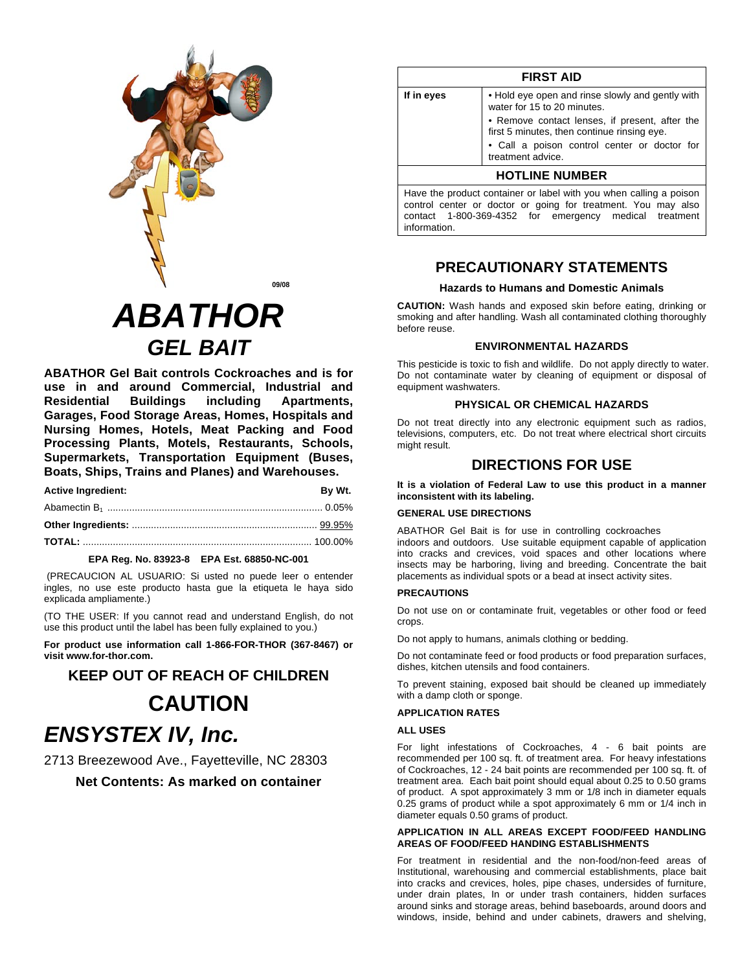

# **ABATHOR GEL BAIT**

**ABATHOR Gel Bait controls Cockroaches and is for** use in and around Commercial, Industrial and Apartments. **Residential Buildings** including Garages, Food Storage Areas, Homes, Hospitals and Nursing Homes, Hotels, Meat Packing and Food Processing Plants, Motels, Restaurants, Schools, Supermarkets, Transportation Equipment (Buses, Boats, Ships, Trains and Planes) and Warehouses.

| <b>Active Ingredient:</b> | By Wt. |
|---------------------------|--------|
|                           |        |
|                           |        |
|                           |        |

#### EPA Reg. No. 83923-8 EPA Est. 68850-NC-001

(PRECAUCION AL USUARIO: Si usted no puede leer o entender ingles, no use este producto hasta gue la etiqueta le haya sido explicada ampliamente.)

(TO THE USER: If you cannot read and understand English, do not use this product until the label has been fully explained to you.)

For product use information call 1-866-FOR-THOR (367-8467) or visit www.for-thor.com.

## **KEEP OUT OF REACH OF CHILDREN CAUTION ENSYSTEX IV, Inc.**

2713 Breezewood Ave., Fayetteville, NC 28303

Net Contents: As marked on container

|            | <b>FIRST AID</b>                                                                                                                                                                                 |
|------------|--------------------------------------------------------------------------------------------------------------------------------------------------------------------------------------------------|
| If in eyes | • Hold eye open and rinse slowly and gently with<br>water for 15 to 20 minutes.                                                                                                                  |
|            | • Remove contact lenses, if present, after the<br>first 5 minutes, then continue rinsing eye.                                                                                                    |
|            | • Call a poison control center or doctor for<br>treatment advice.                                                                                                                                |
|            | <b>HOTLINE NUMBER</b>                                                                                                                                                                            |
|            | Have the product container or label with you when calling a poison<br>control center or doctor or going for treatment. You may also<br>contact 1-800-369-4352 for emergency medical<br>treatment |

### **PRECAUTIONARY STATEMENTS**

#### **Hazards to Humans and Domestic Animals**

**CAUTION:** Wash hands and exposed skin before eating, drinking or smoking and after handling. Wash all contaminated clothing thoroughly before reuse.

#### **ENVIRONMENTAL HAZARDS**

This pesticide is toxic to fish and wildlife. Do not apply directly to water. Do not contaminate water by cleaning of equipment or disposal of equipment washwaters.

#### PHYSICAL OR CHEMICAL HAZARDS

Do not treat directly into any electronic equipment such as radios, televisions, computers, etc. Do not treat where electrical short circuits might result.

## **DIRECTIONS FOR USE**

It is a violation of Federal Law to use this product in a manner inconsistent with its labeling.

#### **GENERAL USE DIRECTIONS**

ABATHOR Gel Bait is for use in controlling cockroaches indoors and outdoors. Use suitable equipment capable of application into cracks and crevices, void spaces and other locations where insects may be harboring, living and breeding. Concentrate the bait placements as individual spots or a bead at insect activity sites.

#### **PRECAUTIONS**

information.

Do not use on or contaminate fruit, vegetables or other food or feed crops.

Do not apply to humans, animals clothing or bedding.

Do not contaminate feed or food products or food preparation surfaces, dishes, kitchen utensils and food containers.

To prevent staining, exposed bait should be cleaned up immediately with a damp cloth or sponge.

#### **APPLICATION RATES**

#### **ALL USES**

For light infestations of Cockroaches, 4 - 6 bait points are recommended per 100 sq. ft. of treatment area. For heavy infestations of Cockroaches, 12 - 24 bait points are recommended per 100 sq. ft. of treatment area. Each bait point should equal about 0.25 to 0.50 grams of product. A spot approximately 3 mm or 1/8 inch in diameter equals 0.25 grams of product while a spot approximately 6 mm or 1/4 inch in diameter equals 0.50 grams of product.

#### APPLICATION IN ALL AREAS EXCEPT FOOD/FEED HANDLING **AREAS OF FOOD/FEED HANDING ESTABLISHMENTS**

For treatment in residential and the non-food/non-feed areas of Institutional, warehousing and commercial establishments, place bait into cracks and crevices, holes, pipe chases, undersides of furniture, under drain plates, In or under trash containers, hidden surfaces around sinks and storage areas, behind baseboards, around doors and windows, inside, behind and under cabinets, drawers and shelving,